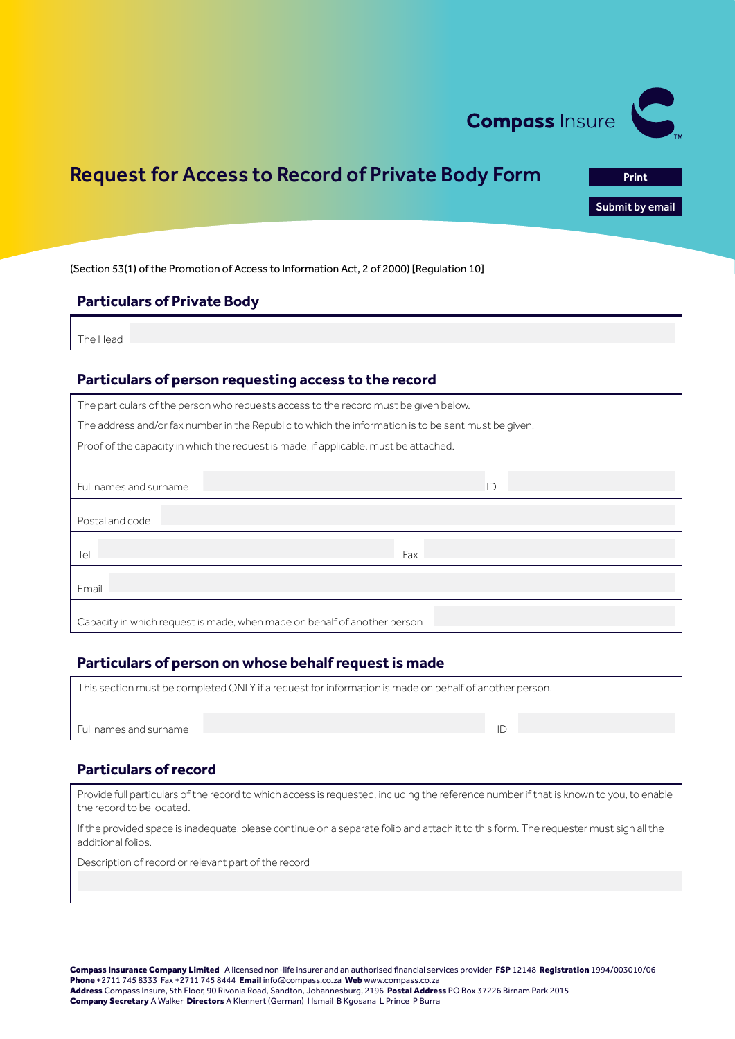

# Request for Access to Record of Private Body Form

Print<br>**Submit by email**<br>Print by email

(Section 53(1) of the Promotion of Access to Information Act, 2 of 2000) [Regulation 10]

### **Particulars of Private Body**

The Head

### **Particulars of person requesting access to the record**

| The particulars of the person who requests access to the record must be given below.                |                                                                          |  |  |  |  |  |
|-----------------------------------------------------------------------------------------------------|--------------------------------------------------------------------------|--|--|--|--|--|
| The address and/or fax number in the Republic to which the information is to be sent must be given. |                                                                          |  |  |  |  |  |
| Proof of the capacity in which the request is made, if applicable, must be attached.                |                                                                          |  |  |  |  |  |
|                                                                                                     |                                                                          |  |  |  |  |  |
| Full names and surname                                                                              | ID                                                                       |  |  |  |  |  |
|                                                                                                     |                                                                          |  |  |  |  |  |
| Postal and code                                                                                     |                                                                          |  |  |  |  |  |
| Tel                                                                                                 | Fax                                                                      |  |  |  |  |  |
| Email                                                                                               |                                                                          |  |  |  |  |  |
|                                                                                                     | Capacity in which request is made, when made on behalf of another person |  |  |  |  |  |

# **Particulars of person on whose behalf request is made**

Full names and surname ID is a state of the state of the state of the state of the state of the state of the state of the state of the state of the state of the state of the state of the state of the state of the state of

|  | This section must be completed ONLY if a request for information is made on behalf of another person. |  |
|--|-------------------------------------------------------------------------------------------------------|--|
|  |                                                                                                       |  |

### **Particulars of record**

Provide full particulars of the record to which access is requested, including the reference number if that is known to you, to enable the record to be located.

If the provided space is inadequate, please continue on a separate folio and attach it to this form. The requester must sign all the additional folios.

Description of record or relevant part of the record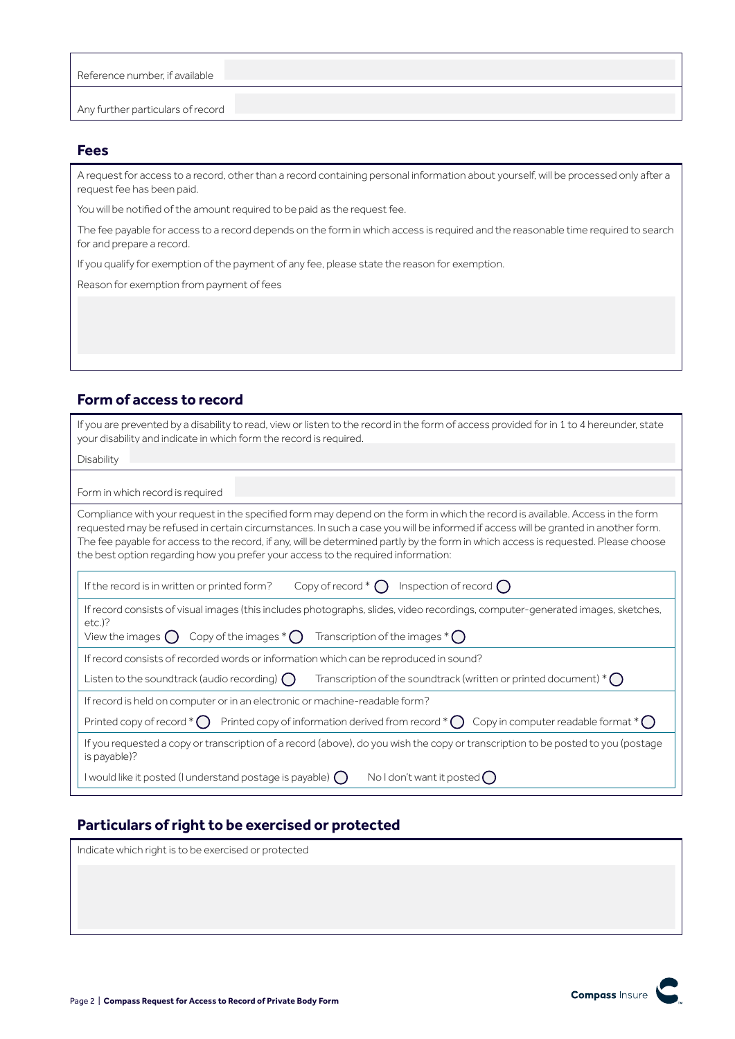| Reference number, if available    |  |
|-----------------------------------|--|
|                                   |  |
|                                   |  |
| Any further particulars of record |  |

# **Fees**

A request for access to a record, other than a record containing personal information about yourself, will be processed only after a request fee has been paid.

You will be notified of the amount required to be paid as the request fee.

The fee payable for access to a record depends on the form in which access is required and the reasonable time required to search for and prepare a record.

If you qualify for exemption of the payment of any fee, please state the reason for exemption.

Reason for exemption from payment of fees

# **Form of access to record**

| If you are prevented by a disability to read, view or listen to the record in the form of access provided for in 1 to 4 hereunder, state<br>your disability and indicate in which form the record is required.                                                                                                                                                                                                                                                                                  |  |  |  |
|-------------------------------------------------------------------------------------------------------------------------------------------------------------------------------------------------------------------------------------------------------------------------------------------------------------------------------------------------------------------------------------------------------------------------------------------------------------------------------------------------|--|--|--|
| Disability                                                                                                                                                                                                                                                                                                                                                                                                                                                                                      |  |  |  |
| Form in which record is required                                                                                                                                                                                                                                                                                                                                                                                                                                                                |  |  |  |
| Compliance with your request in the specified form may depend on the form in which the record is available. Access in the form<br>requested may be refused in certain circumstances. In such a case you will be informed if access will be granted in another form.<br>The fee payable for access to the record, if any, will be determined partly by the form in which access is requested. Please choose<br>the best option regarding how you prefer your access to the required information: |  |  |  |
| Copy of record $*$ $\bigcap$ Inspection of record $\bigcap$<br>If the record is in written or printed form?                                                                                                                                                                                                                                                                                                                                                                                     |  |  |  |
| If record consists of visual images (this includes photographs, slides, video recordings, computer-generated images, sketches,<br>$etc.$ )?<br>View the images $\bigcap$ Copy of the images $^*$ $\bigcap$ Transcription of the images $^*$ $\bigcap$                                                                                                                                                                                                                                           |  |  |  |
| If record consists of recorded words or information which can be reproduced in sound?                                                                                                                                                                                                                                                                                                                                                                                                           |  |  |  |
| Transcription of the soundtrack (written or printed document) $^*$ $\bigcap$<br>Listen to the soundtrack (audio recording) $\binom{ }{ }$                                                                                                                                                                                                                                                                                                                                                       |  |  |  |
| If record is held on computer or in an electronic or machine-readable form?                                                                                                                                                                                                                                                                                                                                                                                                                     |  |  |  |
| Printed copy of record $^*$ Printed copy of information derived from record $^*$ O Copy in computer readable format $^*$ O                                                                                                                                                                                                                                                                                                                                                                      |  |  |  |
| If you requested a copy or transcription of a record (above), do you wish the copy or transcription to be posted to you (postage<br>is payable)?                                                                                                                                                                                                                                                                                                                                                |  |  |  |
| I would like it posted (I understand postage is payable) $\bigcap$<br>Noldon't want it posted $\big(\big)$                                                                                                                                                                                                                                                                                                                                                                                      |  |  |  |

# **Particulars of right to be exercised or protected**

| Indicate which right is to be exercised or protected |  |
|------------------------------------------------------|--|
|                                                      |  |
|                                                      |  |
|                                                      |  |